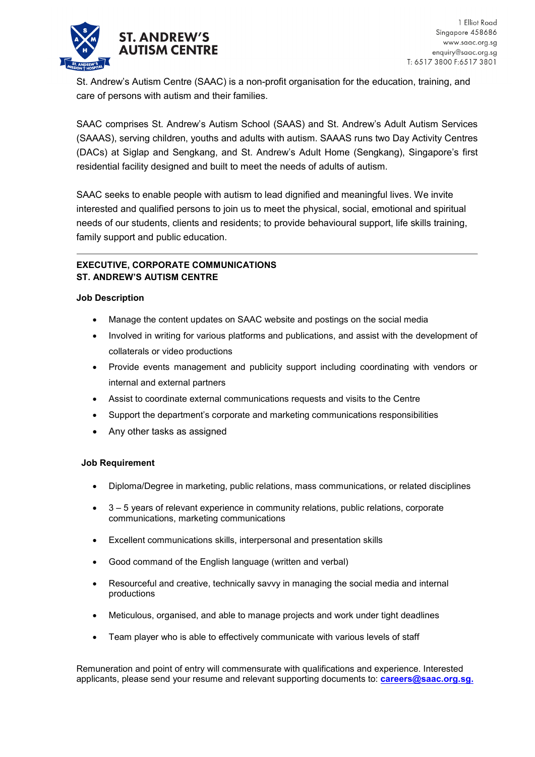

St. Andrew's Autism Centre (SAAC) is a non-profit organisation for the education, training, and care of persons with autism and their families.

SAAC comprises St. Andrew's Autism School (SAAS) and St. Andrew's Adult Autism Services (SAAAS), serving children, youths and adults with autism. SAAAS runs two Day Activity Centres (DACs) at Siglap and Sengkang, and St. Andrew's Adult Home (Sengkang), Singapore's first residential facility designed and built to meet the needs of adults of autism.

SAAC seeks to enable people with autism to lead dignified and meaningful lives. We invite interested and qualified persons to join us to meet the physical, social, emotional and spiritual needs of our students, clients and residents; to provide behavioural support, life skills training, family support and public education.

## **EXECUTIVE, CORPORATE COMMUNICATIONS ST. ANDREW'S AUTISM CENTRE**

## **Job Description**

- Manage the content updates on SAAC website and postings on the social media
- Involved in writing for various platforms and publications, and assist with the development of collaterals or video productions
- Provide events management and publicity support including coordinating with vendors or internal and external partners
- Assist to coordinate external communications requests and visits to the Centre
- Support the department's corporate and marketing communications responsibilities
- Any other tasks as assigned

## **Job Requirement**

- Diploma/Degree in marketing, public relations, mass communications, or related disciplines
- 3 5 years of relevant experience in community relations, public relations, corporate communications, marketing communications
- Excellent communications skills, interpersonal and presentation skills
- Good command of the English language (written and verbal)
- Resourceful and creative, technically savvy in managing the social media and internal productions
- Meticulous, organised, and able to manage projects and work under tight deadlines
- Team player who is able to effectively communicate with various levels of staff

Remuneration and point of entry will commensurate with qualifications and experience. Interested applicants, please send your resume and relevant supporting documents to: **[careers@saac.org.sg.](mailto:careers@saac.org.sg)**